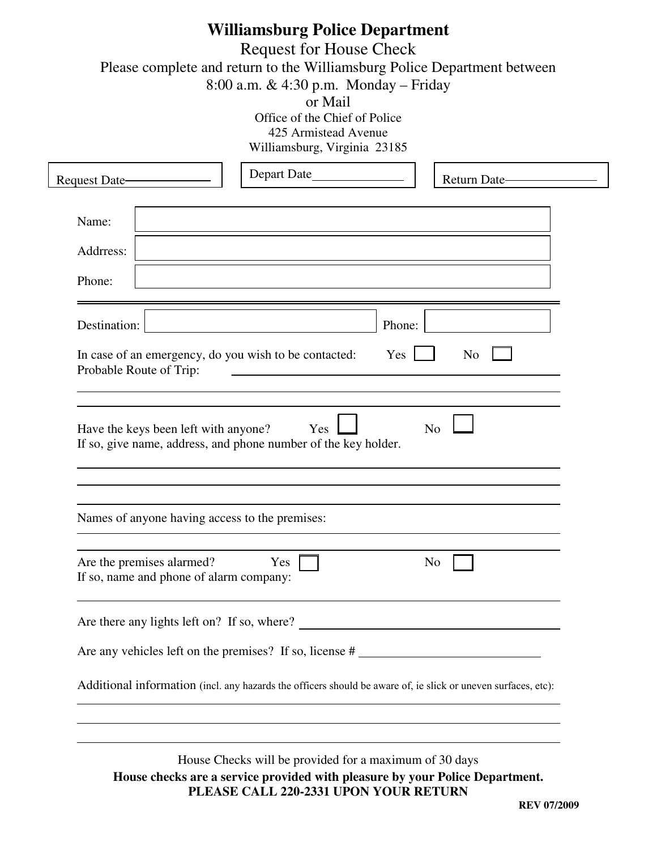| <b>Williamsburg Police Department</b><br><b>Request for House Check</b><br>Please complete and return to the Williamsburg Police Department between<br>8:00 a.m. & 4:30 p.m. Monday - Friday<br>or Mail<br>Office of the Chief of Police<br>425 Armistead Avenue<br>Williamsburg, Virginia 23185 |                                                                                                           |                                                                                                                                                                                 |                |                    |  |  |  |  |  |  |
|--------------------------------------------------------------------------------------------------------------------------------------------------------------------------------------------------------------------------------------------------------------------------------------------------|-----------------------------------------------------------------------------------------------------------|---------------------------------------------------------------------------------------------------------------------------------------------------------------------------------|----------------|--------------------|--|--|--|--|--|--|
| Request Date-                                                                                                                                                                                                                                                                                    |                                                                                                           | Depart Date                                                                                                                                                                     |                | Return Date-       |  |  |  |  |  |  |
| Name:                                                                                                                                                                                                                                                                                            |                                                                                                           |                                                                                                                                                                                 |                |                    |  |  |  |  |  |  |
| Addrress:                                                                                                                                                                                                                                                                                        |                                                                                                           |                                                                                                                                                                                 |                |                    |  |  |  |  |  |  |
| Phone:                                                                                                                                                                                                                                                                                           |                                                                                                           |                                                                                                                                                                                 |                |                    |  |  |  |  |  |  |
| Destination:                                                                                                                                                                                                                                                                                     |                                                                                                           |                                                                                                                                                                                 | Phone:         |                    |  |  |  |  |  |  |
|                                                                                                                                                                                                                                                                                                  | In case of an emergency, do you wish to be contacted:<br>Yes<br>N <sub>0</sub><br>Probable Route of Trip: |                                                                                                                                                                                 |                |                    |  |  |  |  |  |  |
|                                                                                                                                                                                                                                                                                                  | Have the keys been left with anyone?                                                                      | Yes<br>If so, give name, address, and phone number of the key holder.<br>Names of anyone having access to the premises:                                                         | N <sub>o</sub> |                    |  |  |  |  |  |  |
|                                                                                                                                                                                                                                                                                                  | Are the premises alarmed?<br>If so, name and phone of alarm company:                                      | $Yes$                                                                                                                                                                           |                | N <sub>o</sub>     |  |  |  |  |  |  |
|                                                                                                                                                                                                                                                                                                  |                                                                                                           |                                                                                                                                                                                 |                |                    |  |  |  |  |  |  |
|                                                                                                                                                                                                                                                                                                  |                                                                                                           |                                                                                                                                                                                 |                |                    |  |  |  |  |  |  |
|                                                                                                                                                                                                                                                                                                  |                                                                                                           | Additional information (incl. any hazards the officers should be aware of, ie slick or uneven surfaces, etc):                                                                   |                |                    |  |  |  |  |  |  |
|                                                                                                                                                                                                                                                                                                  |                                                                                                           | House Checks will be provided for a maximum of 30 days<br>House checks are a service provided with pleasure by your Police Department.<br>PLEASE CALL 220-2331 UPON YOUR RETURN |                | <b>REV 07/2009</b> |  |  |  |  |  |  |